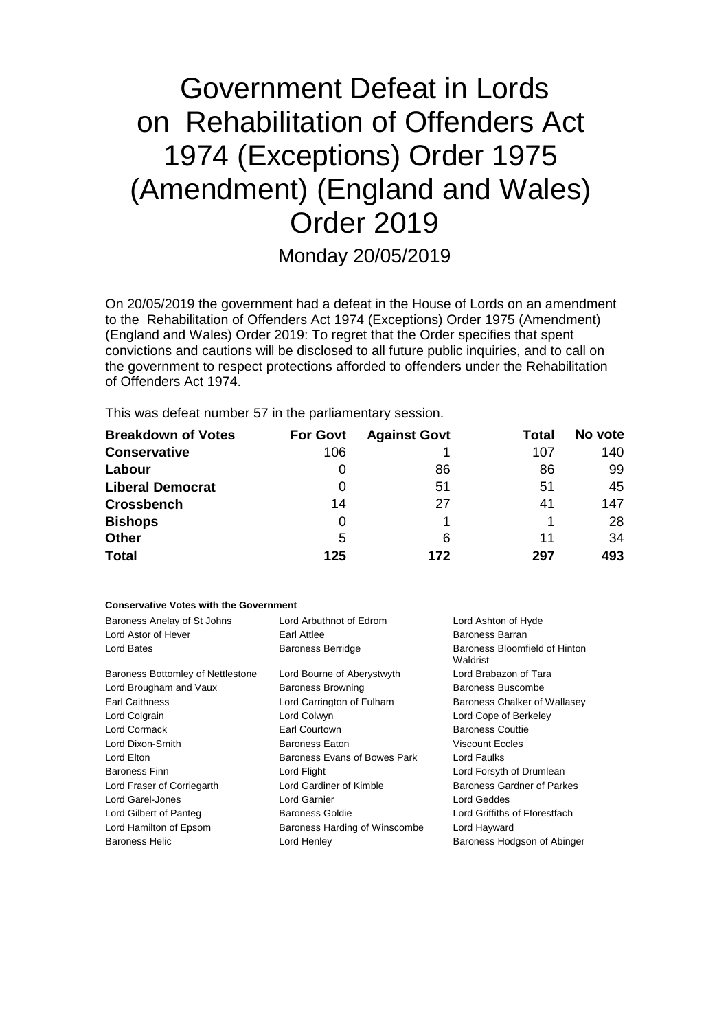# Government Defeat in Lords on Rehabilitation of Offenders Act 1974 (Exceptions) Order 1975 (Amendment) (England and Wales) Order 2019

Monday 20/05/2019

On 20/05/2019 the government had a defeat in the House of Lords on an amendment to the Rehabilitation of Offenders Act 1974 (Exceptions) Order 1975 (Amendment) (England and Wales) Order 2019: To regret that the Order specifies that spent convictions and cautions will be disclosed to all future public inquiries, and to call on the government to respect protections afforded to offenders under the Rehabilitation of Offenders Act 1974.

This was defeat number 57 in the parliamentary session.

| <b>Breakdown of Votes</b> | <b>For Govt</b> | <b>Against Govt</b> | Total | No vote |
|---------------------------|-----------------|---------------------|-------|---------|
| <b>Conservative</b>       | 106             |                     | 107   | 140     |
| Labour                    | 0               | 86                  | 86    | 99      |
| <b>Liberal Democrat</b>   | 0               | 51                  | 51    | 45      |
| <b>Crossbench</b>         | 14              | 27                  | 41    | 147     |
| <b>Bishops</b>            | 0               |                     |       | 28      |
| <b>Other</b>              | 5               | 6                   | 11    | 34      |
| <b>Total</b>              | 125             | 172                 | 297   | 493     |

### **Conservative Votes with the Government**

| Baroness Anelay of St Johns       | Lord Arbuthnot of Edrom       | Lord Ashton of Hyde                       |
|-----------------------------------|-------------------------------|-------------------------------------------|
| Lord Astor of Hever               | Earl Attlee                   | Baroness Barran                           |
| Lord Bates                        | <b>Baroness Berridge</b>      | Baroness Bloomfield of Hinton<br>Waldrist |
| Baroness Bottomley of Nettlestone | Lord Bourne of Aberystwyth    | Lord Brabazon of Tara                     |
| Lord Brougham and Vaux            | <b>Baroness Browning</b>      | Baroness Buscombe                         |
| <b>Earl Caithness</b>             | Lord Carrington of Fulham     | Baroness Chalker of Wallasey              |
| Lord Colgrain                     | Lord Colwyn                   | Lord Cope of Berkeley                     |
| Lord Cormack                      | Earl Courtown                 | <b>Baroness Couttie</b>                   |
| Lord Dixon-Smith                  | <b>Baroness Eaton</b>         | <b>Viscount Eccles</b>                    |
| Lord Elton                        | Baroness Evans of Bowes Park  | Lord Faulks                               |
| <b>Baroness Finn</b>              | Lord Flight                   | Lord Forsyth of Drumlean                  |
| Lord Fraser of Corriegarth        | Lord Gardiner of Kimble       | Baroness Gardner of Parkes                |
| Lord Garel-Jones                  | Lord Garnier                  | Lord Geddes                               |
| Lord Gilbert of Panteg            | Baroness Goldie               | Lord Griffiths of Fforestfach             |
| Lord Hamilton of Epsom            | Baroness Harding of Winscombe | Lord Hayward                              |
| <b>Baroness Helic</b>             | Lord Henley                   | Baroness Hodgson of Abinger               |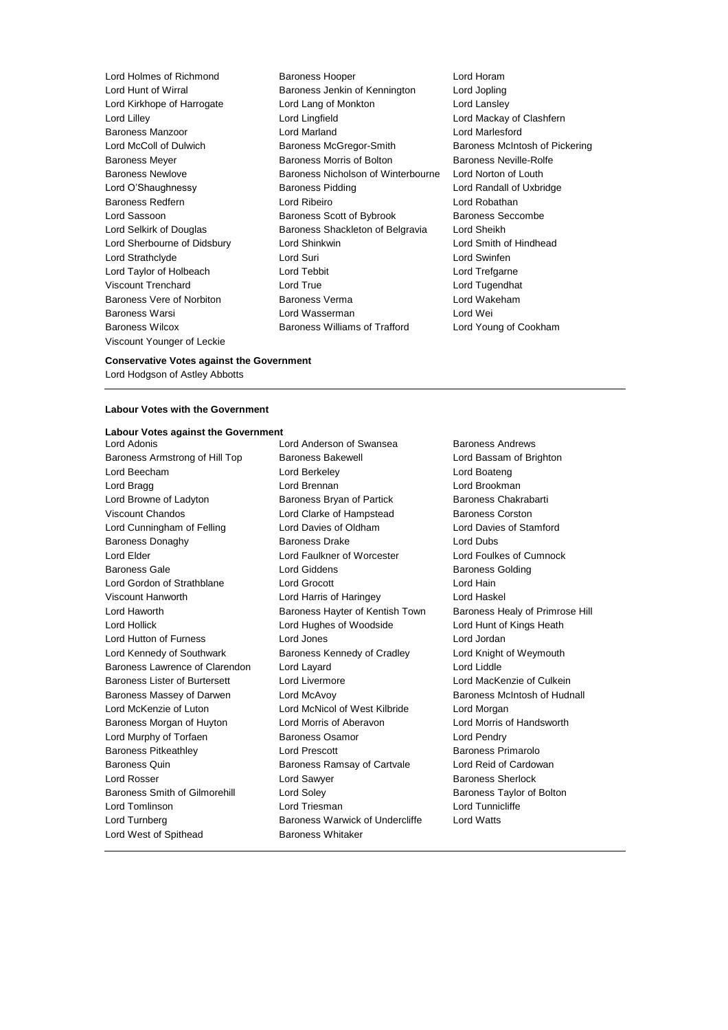Viscount Younger of Leckie

Lord Holmes of Richmond Baroness Hooper Lord Horam<br>
Lord Hunt of Wirral **Baroness** Jenkin of Kennington Lord Jopling Baroness Jenkin of Kennington Lord Jopling Lord Kirkhope of Harrogate Lord Lang of Monkton Lord Lansley Lord Lilley **Lord Lingfield** Lord Lord Lord Mackay of Clashfern Baroness Manzoor Lord Marland Lord Marlesford Lord McColl of Dulwich Baroness McGregor-Smith Baroness McIntosh of Pickering Baroness Meyer Baroness Morris of Bolton Baroness Neville-Rolfe Baroness Newlove **Baroness Nicholson of Winterbourne** Lord Norton of Louth Lord O'Shaughnessy **Baroness Pidding Lord Randall of Uxbridge** Lord Randall of Uxbridge Baroness Redfern Lord Ribeiro Lord Robathan Lord Sassoon **Baroness Scott of Bybrook** Baroness Seccombe Lord Selkirk of Douglas Baroness Shackleton of Belgravia Lord Sheikh Lord Sherbourne of Didsbury Lord Shinkwin Lord Smith of Hindhead Lord Strathclyde Lord Suri Lord Swinfen Lord Taylor of Holbeach Lord Tebbit Lord Trefgarne Viscount Trenchard Lord True Lord Tugendhat Baroness Vere of Norbiton Baroness Verma Lord Wakeham Baroness Warsi Lord Wasserman Lord Wei Baroness Wilcox **Baroness Williams of Trafford** Lord Young of Cookham

# **Conservative Votes against the Government** Lord Hodgson of Astley Abbotts

#### **Labour Votes with the Government**

#### **Labour Votes against the Government**

Baroness Armstrong of Hill Top Baroness Bakewell **Baroness Lord Bassam of Brighton** Lord Beecham Lord Berkeley Lord Boateng Lord Bragg Lord Brennan Lord Brookman Lord Browne of Ladyton **Baroness Bryan of Partick** Baroness Chakrabarti Viscount Chandos Lord Clarke of Hampstead Baroness Corston Lord Cunningham of Felling Lord Davies of Oldham Lord Davies of Stamford Baroness Donaghy **Baroness Drake** Lord Dubs Lord Elder Lord Faulkner of Worcester Lord Foulkes of Cumnock Baroness Gale **Baroness Golding** Lord Giddens **Baroness Golding** Lord Gordon of Strathblane Lord Grocott Lord Hain Viscount Hanworth Lord Harris of Haringey Lord Haskel Lord Haworth **Baroness Hayter of Kentish Town** Baroness Healy of Primrose Hill Lord Hollick Lord Hughes of Woodside Lord Hunt of Kings Heath Lord Hutton of Furness Lord Jones Lord Jordan Lord Kennedy of Southwark **Baroness Kennedy of Cradley** Lord Knight of Weymouth Baroness Lawrence of Clarendon Lord Layard Lord Lord Lord Liddle Baroness Lister of Burtersett Lord Livermore Lord MacKenzie of Culkein Baroness Massey of Darwen Lord McAvoy **Baroness McIntosh of Hudnall** Lord McKenzie of Luton Lord McNicol of West Kilbride Lord Morgan Baroness Morgan of Huyton **Lord Morris of Aberavon** Lord Morris of Handsworth Lord Murphy of Torfaen **Baroness Osamor** Baroness Osamor Lord Pendry Baroness Pitkeathley Lord Prescott Baroness Primarolo Baroness Quin **Baroness Ramsay of Cartvale** Lord Reid of Cardowan **Baroness Ramsay of Cartvale** Lord Rosser Lord Sawyer Baroness Sherlock Baroness Smith of Gilmorehill Lord Soley **Baroness Taylor of Bolton** Lord Tomlinson Lord Triesman Lord Tunnicliffe Lord Turnberg Baroness Warwick of Undercliffe Lord Watts Lord West of Spithead Baroness Whitaker

Lord Adonis Lord Anderson of Swansea Baroness Andrews